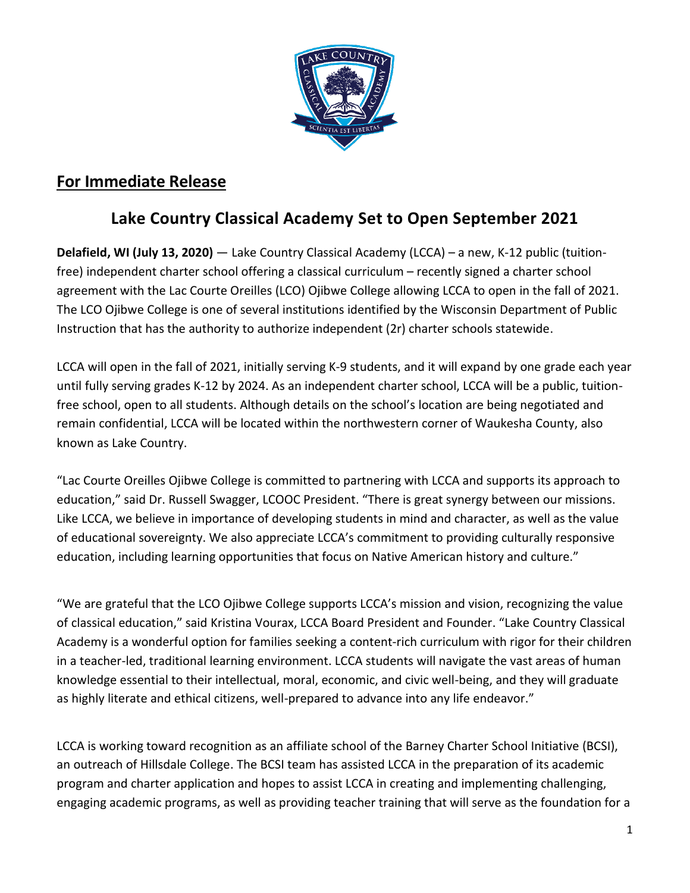

## **For Immediate Release**

## **Lake Country Classical Academy Set to Open September 2021**

**Delafield, WI (July 13, 2020)** — Lake Country Classical Academy (LCCA) – a new, K-12 public (tuitionfree) independent charter school offering a classical curriculum – recently signed a charter school agreement with the Lac Courte Oreilles (LCO) Ojibwe College allowing LCCA to open in the fall of 2021. The LCO Ojibwe College is one of several institutions identified by the Wisconsin Department of Public Instruction that has the authority to authorize independent (2r) charter schools statewide.

LCCA will open in the fall of 2021, initially serving K-9 students, and it will expand by one grade each year until fully serving grades K-12 by 2024. As an independent charter school, LCCA will be a public, tuitionfree school, open to all students. Although details on the school's location are being negotiated and remain confidential, LCCA will be located within the northwestern corner of Waukesha County, also known as Lake Country.

"Lac Courte Oreilles Ojibwe College is committed to partnering with LCCA and supports its approach to education," said Dr. Russell Swagger, LCOOC President. "There is great synergy between our missions. Like LCCA, we believe in importance of developing students in mind and character, as well as the value of educational sovereignty. We also appreciate LCCA's commitment to providing culturally responsive education, including learning opportunities that focus on Native American history and culture."

"We are grateful that the LCO Ojibwe College supports LCCA's mission and vision, recognizing the value of classical education," said Kristina Vourax, LCCA Board President and Founder. "Lake Country Classical Academy is a wonderful option for families seeking a content-rich curriculum with rigor for their children in a teacher-led, traditional learning environment. LCCA students will navigate the vast areas of human knowledge essential to their intellectual, moral, economic, and civic well-being, and they will graduate as highly literate and ethical citizens, well-prepared to advance into any life endeavor."

LCCA is working toward recognition as an affiliate school of the [Barney Charter School Initiative](https://www.hillsdale.edu/educational-outreach/barney-charter-school-initiative/) (BCSI), an outreach of Hillsdale College. The BCSI team has assisted LCCA in the preparation of its academic program and charter application and hopes to assist LCCA in creating and implementing challenging, engaging academic programs, as well as providing teacher training that will serve as the foundation for a